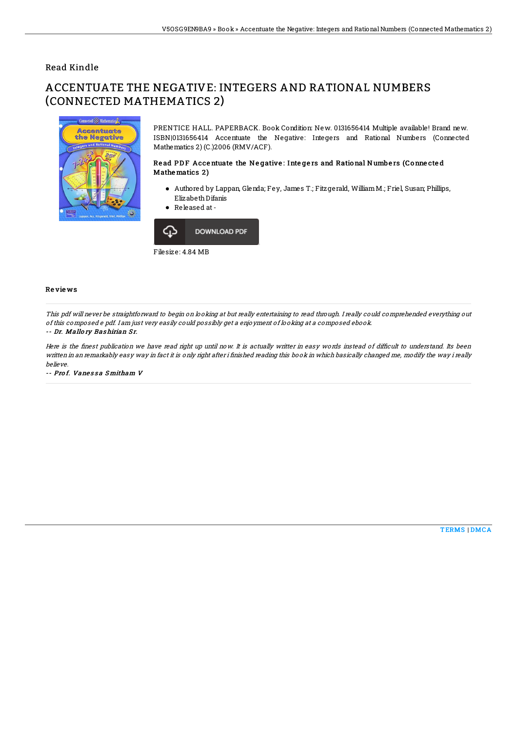## Read Kindle

# ACCENTUATE THE NEGATIVE: INTEGERS AND RATIONAL NUMBERS (CONNECTED MATHEMATICS 2)



PRENTICE HALL. PAPERBACK. Book Condition: New. 0131656414 Multiple available! Brand new. ISBN|0131656414 Accentuate the Negative: Integers and Rational Numbers (Connected Mathematics 2) (C.)2006 (RMV/ACF).

### Read PDF Accentuate the Negative: Integers and Rational Numbers (Connected Mathematics 2)

- Authored by Lappan, Glenda; Fey, James T.; Fitzgerald, WilliamM.; Friel, Susan; Phillips, ElizabethDifanis
- Released at-



#### Re vie ws

This pdf will never be straightforward to begin on looking at but really entertaining to read through. I really could comprehended everything out of this composed <sup>e</sup> pdf. I am just very easily could possibly get <sup>a</sup> enjoyment of looking at <sup>a</sup> composed ebook.

#### -- Dr. Mallo ry Bashirian Sr.

Here is the finest publication we have read right up until now. It is actually writter in easy words instead of difficult to understand. Its been written in an remarkably easy way in fact it is only right after i finished reading this book in which basically changed me, modify the way i really believe.

-- Prof. Vanessa Smitham V